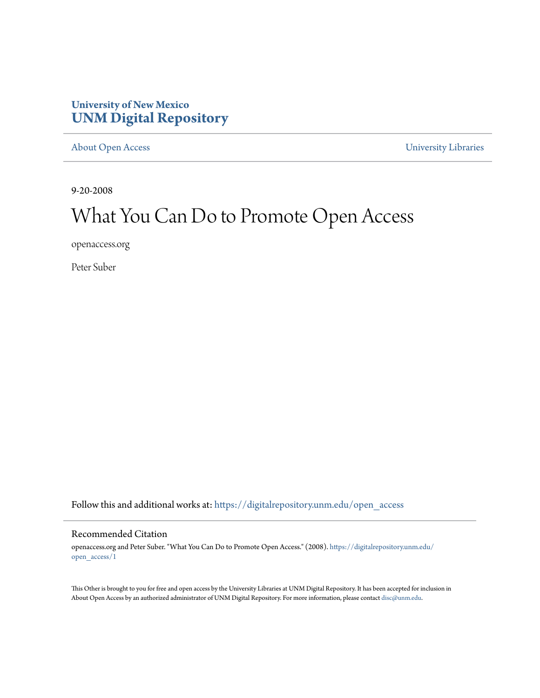### **University of New Mexico [UNM Digital Repository](https://digitalrepository.unm.edu?utm_source=digitalrepository.unm.edu%2Fopen_access%2F1&utm_medium=PDF&utm_campaign=PDFCoverPages)**

[About Open Access](https://digitalrepository.unm.edu/open_access?utm_source=digitalrepository.unm.edu%2Fopen_access%2F1&utm_medium=PDF&utm_campaign=PDFCoverPages) [University Libraries](https://digitalrepository.unm.edu/libraries?utm_source=digitalrepository.unm.edu%2Fopen_access%2F1&utm_medium=PDF&utm_campaign=PDFCoverPages)

9-20-2008

# What You Can Do to Promote Open Access

openaccess.org

Peter Suber

Follow this and additional works at: [https://digitalrepository.unm.edu/open\\_access](https://digitalrepository.unm.edu/open_access?utm_source=digitalrepository.unm.edu%2Fopen_access%2F1&utm_medium=PDF&utm_campaign=PDFCoverPages)

#### Recommended Citation

openaccess.org and Peter Suber. "What You Can Do to Promote Open Access." (2008). [https://digitalrepository.unm.edu/](https://digitalrepository.unm.edu/open_access/1?utm_source=digitalrepository.unm.edu%2Fopen_access%2F1&utm_medium=PDF&utm_campaign=PDFCoverPages) [open\\_access/1](https://digitalrepository.unm.edu/open_access/1?utm_source=digitalrepository.unm.edu%2Fopen_access%2F1&utm_medium=PDF&utm_campaign=PDFCoverPages)

This Other is brought to you for free and open access by the University Libraries at UNM Digital Repository. It has been accepted for inclusion in About Open Access by an authorized administrator of UNM Digital Repository. For more information, please contact [disc@unm.edu.](mailto:disc@unm.edu)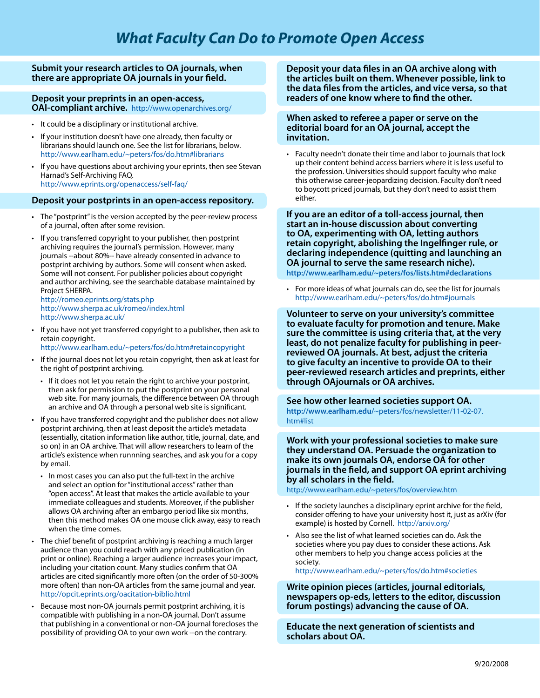#### **Submit your research articles to OA journals, when there are appropriate OA journals in your field.**

**Deposit your preprints in an open-access, OAI-compliant archive.** http://www.openarchives.org/

- It could be a disciplinary or institutional archive.
- If your institution doesn't have one already, then faculty or librarians should launch one. See the list for librarians, below. http://www.earlham.edu/~peters/fos/do.htm#librarians
- If you have questions about archiving your eprints, then see Stevan Harnad's Self-Archiving FAQ. http://www.eprints.org/openaccess/self-faq/

#### **Deposit your postprints in an open-access repository.**

- The "postprint" is the version accepted by the peer-review process of a journal, often after some revision.
- If you transferred copyright to your publisher, then postprint archiving requires the journal's permission. However, many journals --about 80%-- have already consented in advance to postprint archiving by authors. Some will consent when asked. Some will not consent. For publisher policies about copyright and author archiving, see the searchable database maintained by Project SHERPA.

http://romeo.eprints.org/stats.php http://www.sherpa.ac.uk/romeo/index.html http://www.sherpa.ac.uk/

- If you have not yet transferred copyright to a publisher, then ask to retain copyright.
- http://www.earlham.edu/~peters/fos/do.htm#retaincopyright
- If the journal does not let you retain copyright, then ask at least for the right of postprint archiving.
	- If it does not let you retain the right to archive your postprint, then ask for permission to put the postprint on your personal web site. For many journals, the difference between OA through an archive and OA through a personal web site is significant.
- If you have transferred copyright and the publisher does not allow postprint archiving, then at least deposit the article's metadata (essentially, citation information like author, title, journal, date, and so on) in an OA archive. That will allow researchers to learn of the article's existence when runnning searches, and ask you for a copy by email.
	- In most cases you can also put the full-text in the archive and select an option for "institutional access" rather than "open access". At least that makes the article available to your immediate colleagues and students. Moreover, if the publisher allows OA archiving after an embargo period like six months, then this method makes OA one mouse click away, easy to reach when the time comes.
- The chief benefit of postprint archiving is reaching a much larger audience than you could reach with any priced publication (in print or online). Reaching a larger audience increases your impact, including your citation count. Many studies confirm that OA articles are cited significantly more often (on the order of 50-300% more often) than non-OA articles from the same journal and year. http://opcit.eprints.org/oacitation-biblio.html
- • Because most non-OA journals permit postprint archiving, it is compatible with publishing in a non-OA journal. Don't assume that publishing in a conventional or non-OA journal forecloses the possibility of providing OA to your own work --on the contrary.

**Deposit your data files in an OA archive along with the articles built on them. Whenever possible, link to the data files from the articles, and vice versa, so that readers of one know where to find the other.** 

#### **When asked to referee a paper or serve on the editorial board for an OA journal, accept the invitation.**

• Faculty needn't donate their time and labor to journals that lock up their content behind access barriers where it is less useful to the profession. Universities should support faculty who make this otherwise career-jeopardizing decision. Faculty don't need to boycott priced journals, but they don't need to assist them either.

**If you are an editor of a toll-access journal, then start an in-house discussion about converting to OA, experimenting with OA, letting authors retain copyright, abolishing the Ingelfinger rule, or declaring independence (quitting and launching an OA journal to serve the same research niche). http://www.earlham.edu/~peters/fos/lists.htm#declarations** 

For more ideas of what journals can do, see the list for journals http://www.earlham.edu/~peters/fos/do.htm#journals

**Volunteer to serve on your university's committee to evaluate faculty for promotion and tenure. Make sure the committee is using criteria that, at the very least, do not penalize faculty for publishing in peerreviewed OA journals. At best, adjust the criteria to give faculty an incentive to provide OA to their peer-reviewed research articles and preprints, either through OAjournals or OA archives.** 

**See how other learned societies support OA. http://www.earlham.edu/**~peters/fos/newsletter/11-02-07. htm#list

**Work with your professional societies to make sure they understand OA. Persuade the organization to make its own journals OA, endorse OA for other journals in the field, and support OA eprint archiving by all scholars in the field.** 

http://www.earlham.edu/~peters/fos/overview.htm

- If the society launches a disciplinary eprint archive for the field, consider offering to have your university host it, just as arXiv (for example) is hosted by Cornell. http://arxiv.org/
- Also see the list of what learned societies can do. Ask the societies where you pay dues to consider these actions. Ask other members to help you change access policies at the society.

http://www.earlham.edu/~peters/fos/do.htm#societies

**Write opinion pieces (articles, journal editorials, newspapers op-eds, letters to the editor, discussion forum postings) advancing the cause of OA.** 

**Educate the next generation of scientists and scholars about OA.**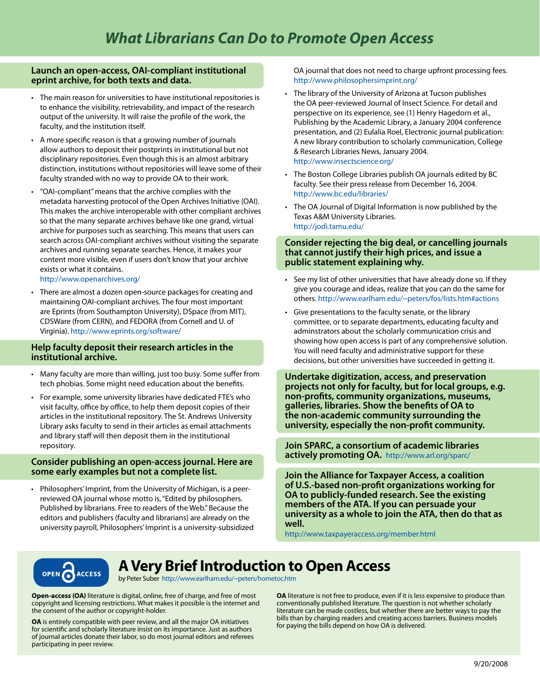#### **Launch an open-access, OAI-compliant institutional eprint archive, for both texts and data.**

- The main reason for universities to have institutional repositories is to enhance the visibility, retrievability, and impact of the research output of the university. It will raise the profile of the work, the faculty, and the institution itself.
- A more specific reason is that a growing number of journals allow authors to deposit their postprints in institutional but not disciplinary repositories. Even though this is an almost arbitrary distinction, institutions without repositories will leave some of their faculty stranded with no way to provide OA to their work.
- • "OAI-compliant" means that the archive complies with the metadata harvesting protocol of the Open Archives Initiative (OAI). This makes the archive interoperable with other compliant archives so that the many separate archives behave like one grand, virtual archive for purposes such as searching. This means that users can search across OAI-compliant archives without visiting the separate archives and running separate searches. Hence, it makes your content more visible, even if users don't know that your archive exists or what it contains.

http://www.openarchives.org/

There are almost a dozen open-source packages for creating and maintaining OAI-compliant archives. The four most important are Eprints (from Southampton University), DSpace (from MIT), CDSWare (from CERN), and FEDORA (from Cornell and U. of Virginia). http://www.eprints.org/software/

#### **Help faculty deposit their research articles in the institutional archive.**

- Many faculty are more than willing, just too busy. Some suffer from tech phobias. Some might need education about the benefits.
- For example, some university libraries have dedicated FTE's who visit faculty, office by office, to help them deposit copies of their articles in the institutional repository. The St. Andrews University Library asks faculty to send in their articles as email attachments and library staff will then deposit them in the institutional repository.

#### **Consider publishing an open-access journal. Here are some early examples but not a complete list.**

• Philosophers' Imprint, from the University of Michigan, is a peerreviewed OA journal whose motto is, "Edited by philosophers. Published by librarians. Free to readers of the Web." Because the editors and publishers (faculty and librarians) are already on the university payroll, Philosophers' Imprint is a university-subsidized OA journal that does not need to charge upfront processing fees. http://www.philosophersimprint.org/

- The library of the University of Arizona at Tucson publishes the OA peer-reviewed Journal of Insect Science. For detail and perspective on its experience, see (1) Henry Hagedorn et al., Publishing by the Academic Library, a January 2004 conference presentation, and (2) Eulalia Roel, Electronic journal publication: A new library contribution to scholarly communication, College & Research Libraries News, January 2004. http://www.insectscience.org/
- The Boston College Libraries publish OA journals edited by BC faculty. See their press release from December 16, 2004. http://www.bc.edu/libraries/
- The OA Journal of Digital Information is now published by the Texas A&M University Libraries. http://jodi.tamu.edu/

#### **Consider rejecting the big deal, or cancelling journals that cannot justify their high prices, and issue a public statement explaining why.**

- See my list of other universities that have already done so. If they give you courage and ideas, realize that you can do the same for others. http://www.earlham.edu/~peters/fos/lists.htm#actions
- Give presentations to the faculty senate, or the library committee, or to separate departments, educating faculty and adminstrators about the scholarly communication crisis and showing how open access is part of any comprehensive solution. You will need faculty and administrative support for these decisions, but other universities have succeeded in getting it.

**Undertake digitization, access, and preservation projects not only for faculty, but for local groups, e.g. non-profits, community organizations, museums, galleries, libraries. Show the benefits of OA to the non-academic community surrounding the university, especially the non-profit community.** 

**Join SPARC, a consortium of academic libraries actively promoting OA.** http://www.arl.org/sparc/

**Join the Alliance for Taxpayer Access, a coalition of U.S.-based non-profit organizations working for OA to publicly-funded research. See the existing members of the ATA. If you can persuade your university as a whole to join the ATA, then do that as well.** 

http://www.taxpayeraccess.org/member.html



## **A Very Brief Introduction to Open Access**

by Peter Suber http://www.earlham.edu/~peters/hometoc.htm

**Open-access (OA)** literature is digital, online, free of charge, and free of most copyright and licensing restrictions. What makes it possible is the internet and the consent of the author or copyright-holder.

**OA** is entirely compatible with peer review, and all the major OA initiatives for scientific and scholarly literature insist on its importance. Just as authors of journal articles donate their labor, so do most journal editors and referees participating in peer review.

**OA** literature is not free to produce, even if it is less expensive to produce than conventionally published literature. The question is not whether scholarly literature can be made costless, but whether there are better ways to pay the bills than by charging readers and creating access barriers. Business models for paying the bills depend on how OA is delivered.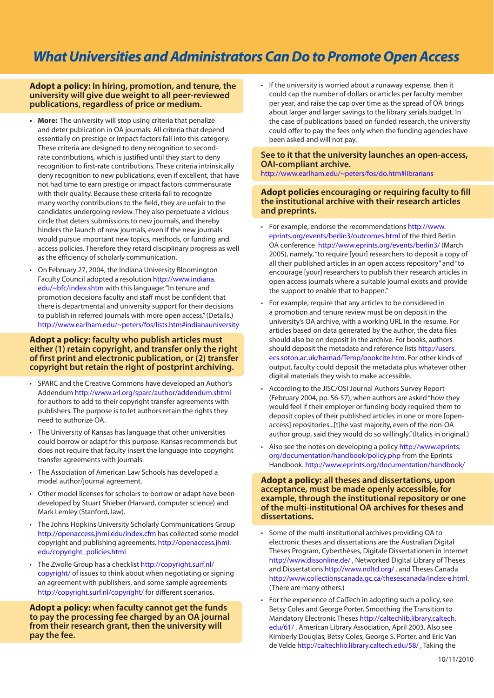## *What Universities and Administrators Can Do to Promote Open Access*

#### **Adopt a policy: In hiring, promotion, and tenure, the university will give due weight to all peer-reviewed publications, regardless of price or medium.**

- **• More:** The university will stop using criteria that penalize and deter publication in OA journals. All criteria that depend essentially on prestige or impact factors fall into this category. These criteria are designed to deny recognition to secondrate contributions, which is justified until they start to deny recognition to first-rate contributions. These criteria intrinsically deny recognition to new publications, even if excellent, that have not had time to earn prestige or impact factors commensurate with their quality. Because these criteria fail to recognize many worthy contributions to the field, they are unfair to the candidates undergoing review. They also perpetuate a vicious circle that deters submissions to new journals, and thereby hinders the launch of new journals, even if the new journals would pursue important new topics, methods, or funding and access policies. Therefore they retard disciplinary progress as well as the efficiency of scholarly communication.
- On February 27, 2004, the Indiana University Bloomington Faculty Council adopted a resolution http://www.indiana. edu/~bfc/index.shtm with this language: "In tenure and promotion decisions faculty and staff must be confident that there is departmental and university support for their decisions to publish in referred journals with more open access." (Details.) http://www.earlham.edu/~peters/fos/lists.htm#indianauniversity

#### **Adopt a policy: faculty who publish articles must either (1) retain copyright, and transfer only the right of first print and electronic publication, or (2) transfer copyright but retain the right of postprint archiving.**

- • SPARC and the Creative Commons have developed an Author's Addendum http://www.arl.org/sparc/author/addendum.shtml for authors to add to their copyright transfer agreements with publishers. The purpose is to let authors retain the rights they need to authorize OA.
- The University of Kansas has language that other universities could borrow or adapt for this purpose. Kansas recommends but does not require that faculty insert the language into copyright transfer agreements with journals.
- • The Association of American Law Schools has developed a model author/journal agreement.
- Other model licenses for scholars to borrow or adapt have been developed by Stuart Shieber (Harvard, computer science) and Mark Lemley (Stanford, law).
- The Johns Hopkins University Scholarly Communications Group http://openaccess.jhmi.edu/index.cfm has collected some model copyright and publishing agreements. http://openaccess.jhmi. edu/copyright\_policies.html
- The Zwolle Group has a checklist http://copyright.surf.nl/ copyright/ of issues to think about when negotiating or signing an agreement with publishers, and some sample agreements http://copyright.surf.nl/copyright/ for different scenarios.

**Adopt a policy: when faculty cannot get the funds to pay the processing fee charged by an OA journal from their research grant, then the university will pay the fee.** 

• If the university is worried about a runaway expense, then it could cap the number of dollars or articles per faculty member per year, and raise the cap over time as the spread of OA brings about larger and larger savings to the library serials budget. In the case of publications based on funded research, the university could offer to pay the fees only when the funding agencies have been asked and will not pay.

#### **See to it that the university launches an open-access, OAI-compliant archive.**

http://www.earlham.edu/~peters/fos/do.htm#librarians

#### **Adopt policies encouraging or requiring faculty to fill the institutional archive with their research articles and preprints.**

- For example, endorse the recommendations http://www. eprints.org/events/berlin3/outcomes.html of the third Berlin OA conference http://www.eprints.org/events/berlin3/ (March 2005), namely, "to require [your] researchers to deposit a copy of all their published articles in an open access repository" and "to encourage [your] researchers to publish their research articles in open access journals where a suitable journal exists and provide the support to enable that to happen."
- For example, require that any articles to be considered in a promotion and tenure review must be on deposit in the university's OA archive, with a working URL in the resume. For articles based on data generated by the author, the data files should also be on deposit in the archive. For books, authors should deposit the metadata and reference lists http://users. ecs.soton.ac.uk/harnad/Temp/bookcite.htm. For other kinds of output, faculty could deposit the metadata plus whatever other digital materials they wish to make accessible.
- According to the JISC/OSI Journal Authors Survey Report (February 2004, pp. 56-57), when authors are asked "how they would feel if their employer or funding body required them to deposit copies of their published articles in one or more [openaccess] repositories...[t]he vast majority, even of the non-OA author group, said they would do so willingly." (Italics in original.)
- Also see the notes on developing a policy http://www.eprints. org/documentation/handbook/policy.php from the Eprints Handbook. http://www.eprints.org/documentation/handbook/

#### **Adopt a policy: all theses and dissertations, upon acceptance, must be made openly accessible, for example, through the institutional repository or one of the multi-institutional OA archives for theses and dissertations.**

- • Some of the multi-institutional archives providing OA to electronic theses and dissertations are the Australian Digital Theses Program, Cyberthèses, Digitale Dissertationen in Internet http://www.dissonline.de/ , Networked Digital Library of Theses and Dissertations http://www.ndltd.org/ , and Theses Canada http://www.collectionscanada.gc.ca/thesescanada/index-e.html. (There are many others.)
- For the experience of CalTech in adopting such a policy, see Betsy Coles and George Porter, Smoothing the Transition to Mandatory Electronic Theses http://caltechlib.library.caltech. edu/61/ , American Library Association, April 2003. Also see Kimberly Douglas, Betsy Coles, George S. Porter, and Eric Van de Velde http://caltechlib.library.caltech.edu/58/ , Taking the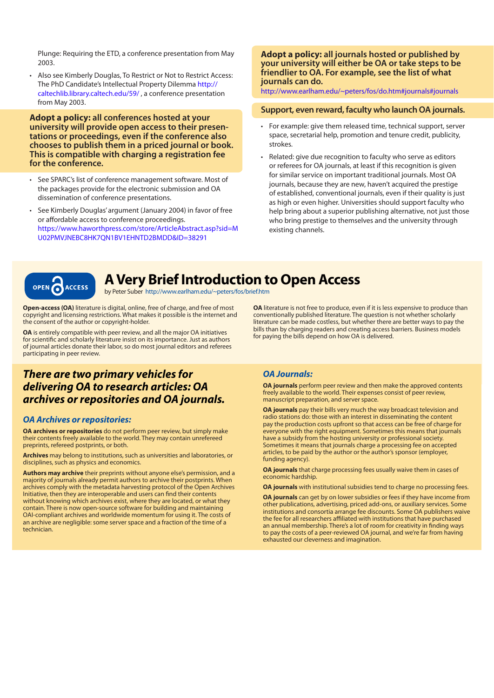Plunge: Requiring the ETD, a conference presentation from May 2003.

• Also see Kimberly Douglas, To Restrict or Not to Restrict Access: The PhD Candidate's Intellectual Property Dilemma http:// caltechlib.library.caltech.edu/59/ , a conference presentation from May 2003.

**Adopt a policy: all conferences hosted at your university will provide open access to their presen- tations or proceedings, even if the conference also chooses to publish them in a priced journal or book. This is compatible with charging a registration fee for the conference.** 

- • See SPARC's list of conference management software. Most of the packages provide for the electronic submission and OA dissemination of conference presentations.
- • See Kimberly Douglas' argument (January 2004) in favor of free or affordable access to conference proceedings. https://www.haworthpress.com/store/ArticleAbstract.asp?sid=M U02PMVJNEBC8HK7QN1BV1EHNTD2BMDD&ID=38291

#### **Adopt a policy: all journals hosted or published by your university will either be OA or take steps to be friendlier to OA. For example, see the list of what journals can do.**

http://www.earlham.edu/~peters/fos/do.htm#journals#journals

#### **Support, even reward, faculty who launch OA journals.**

- For example: give them released time, technical support, server space, secretarial help, promotion and tenure credit, publicity, strokes.
- Related: give due recognition to faculty who serve as editors or referees for OA journals, at least if this recognition is given for similar service on important traditional journals. Most OA journals, because they are new, haven't acquired the prestige of established, conventional journals, even if their quality is just as high or even higher. Universities should support faculty who help bring about a superior publishing alternative, not just those who bring prestige to themselves and the university through existing channels.



### **A Very Brief Introduction to Open Access**

by Peter Suber http://www.earlham.edu/~peters/fos/brief.htm

**Open-access (OA)** literature is digital, online, free of charge, and free of most copyright and licensing restrictions. What makes it possible is the internet and the consent of the author or copyright-holder.

**OA** is entirely compatible with peer review, and all the major OA initiatives for scientific and scholarly literature insist on its importance. Just as authors of journal articles donate their labor, so do most journal editors and referees participating in peer review.

### *There are two primary vehicles for delivering OA to research articles: OA archives or repositories and OA journals.*

#### *OA Archives or repositories:*

**OA archives or repositories** do not perform peer review, but simply make their contents freely available to the world. They may contain unrefereed preprints, refereed postprints, or both.

**Archives** may belong to institutions, such as universities and laboratories, or disciplines, such as physics and economics.

**Authors may archive** their preprints without anyone else's permission, and a majority of journals already permit authors to archive their postprints. When archives comply with the metadata harvesting protocol of the Open Archives Initiative, then they are interoperable and users can find their contents without knowing which archives exist, where they are located, or what they contain. There is now open-source software for building and maintaining OAI-compliant archives and worldwide momentum for using it. The costs of an archive are negligible: some server space and a fraction of the time of a technician.

**OA** literature is not free to produce, even if it is less expensive to produce than conventionally published literature. The question is not whether scholarly literature can be made costless, but whether there are better ways to pay the bills than by charging readers and creating access barriers. Business models for paying the bills depend on how OA is delivered.

#### *OA Journals:*

**OA journals** perform peer review and then make the approved contents freely available to the world. Their expenses consist of peer review, manuscript preparation, and server space.

**OA journals** pay their bills very much the way broadcast television and radio stations do: those with an interest in disseminating the content pay the production costs upfront so that access can be free of charge for everyone with the right equipment. Sometimes this means that journals have a subsidy from the hosting university or professional society. Sometimes it means that journals charge a processing fee on accepted articles, to be paid by the author or the author's sponsor (employer, funding agency).

**OA journals** that charge processing fees usually waive them in cases of economic hardship.

**OA journals** with institutional subsidies tend to charge no processing fees.

**OA journals** can get by on lower subsidies or fees if they have income from other publications, advertising, priced add-ons, or auxiliary services. Some institutions and consortia arrange fee discounts. Some OA publishers waive the fee for all researchers affiliated with institutions that have purchased an annual membership. There's a lot of room for creativity in finding ways to pay the costs of a peer-reviewed OA journal, and we're far from having exhausted our cleverness and imagination.